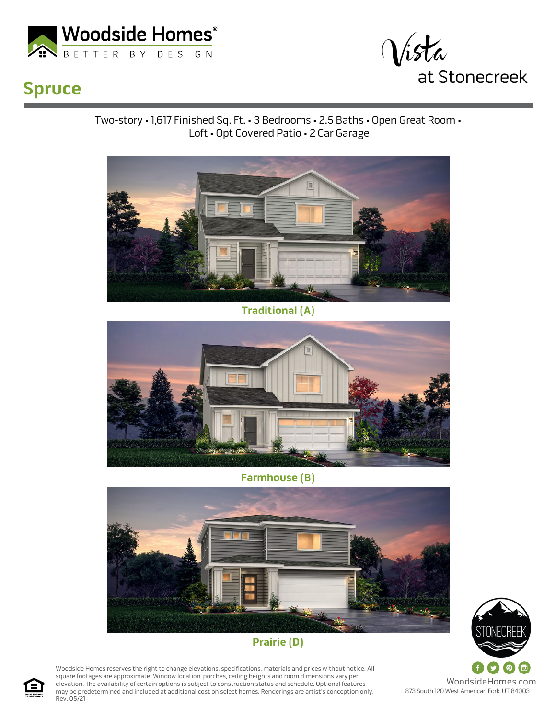



## **Spruce**

Two-story • 1,617 Finished Sq. Ft. • 3 Bedrooms • 2.5 Baths • Open Great Room • Loft • Opt Covered Patio • 2 Car Garage



**Traditional (A)**



**Farmhouse (B)**



## **Prairie (D)**

Woodside Homes reserves the right to change elevations, specifications, materials and prices without notice. All square footages are approximate. Window location, porches, ceiling heights and room dimensions vary per elevation. The availability of certain options is subject to construction status and schedule. Optional features may be predetermined and included at additional cost on select homes. Renderings are artist's conception only. Rev. 05/21



873 South 120 West American Fork, UT 84003